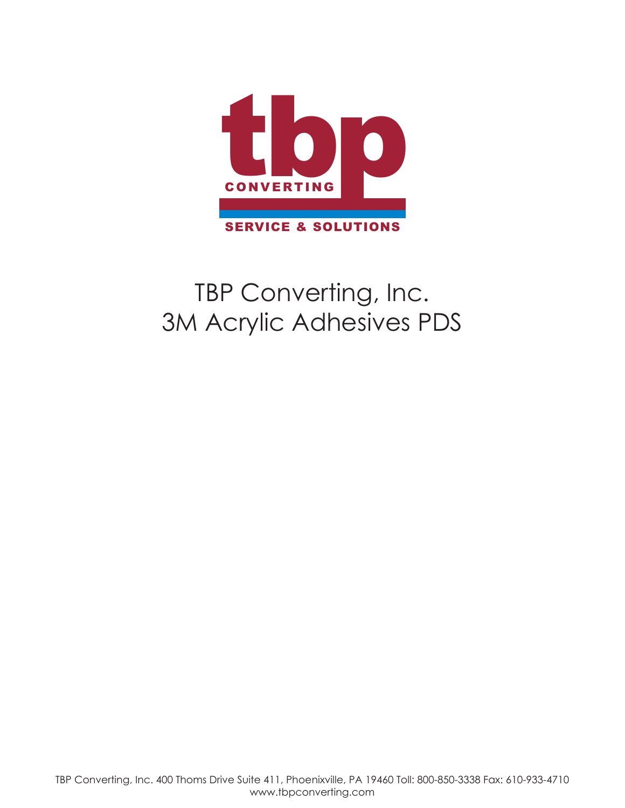

# TBP Converting, Inc. 3M Acrylic Adhesives PDS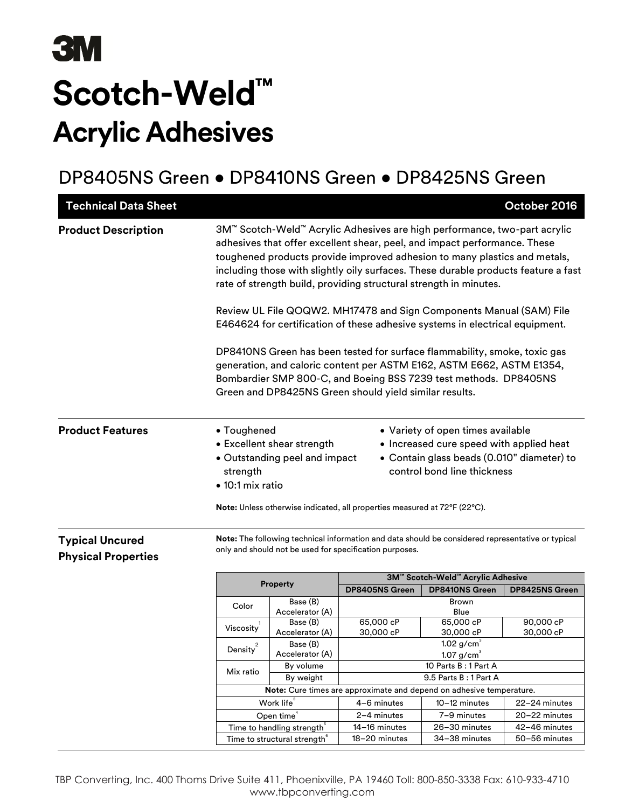# **3M Scotch-Weld™ Acrylic Adhesives**

# DP8405NS Green • DP8410NS Green • DP8425NS Green

| <b>Technical Data Sheet</b>                          |                                             |                                                                      |                                                                                                                                                                                                                                                                                                                                                                                                                                                                                                                                                                                                                                                                                                                                                                                                                                           |                                                                                                                                                            | October 2016           |  |
|------------------------------------------------------|---------------------------------------------|----------------------------------------------------------------------|-------------------------------------------------------------------------------------------------------------------------------------------------------------------------------------------------------------------------------------------------------------------------------------------------------------------------------------------------------------------------------------------------------------------------------------------------------------------------------------------------------------------------------------------------------------------------------------------------------------------------------------------------------------------------------------------------------------------------------------------------------------------------------------------------------------------------------------------|------------------------------------------------------------------------------------------------------------------------------------------------------------|------------------------|--|
| <b>Product Description</b>                           |                                             |                                                                      | 3M™ Scotch-Weld™ Acrylic Adhesives are high performance, two-part acrylic<br>adhesives that offer excellent shear, peel, and impact performance. These<br>toughened products provide improved adhesion to many plastics and metals,<br>including those with slightly oily surfaces. These durable products feature a fast<br>rate of strength build, providing structural strength in minutes.<br>Review UL File QOQW2. MH17478 and Sign Components Manual (SAM) File<br>E464624 for certification of these adhesive systems in electrical equipment.<br>DP8410NS Green has been tested for surface flammability, smoke, toxic gas<br>generation, and caloric content per ASTM E162, ASTM E662, ASTM E1354,<br>Bombardier SMP 800-C, and Boeing BSS 7239 test methods. DP8405NS<br>Green and DP8425NS Green should yield similar results. |                                                                                                                                                            |                        |  |
| <b>Product Features</b>                              | • Toughened<br>strength<br>• 10:1 mix ratio | • Excellent shear strength<br>• Outstanding peel and impact          | Note: Unless otherwise indicated, all properties measured at 72°F (22°C).                                                                                                                                                                                                                                                                                                                                                                                                                                                                                                                                                                                                                                                                                                                                                                 | • Variety of open times available<br>• Increased cure speed with applied heat<br>• Contain glass beads (0.010" diameter) to<br>control bond line thickness |                        |  |
| <b>Typical Uncured</b><br><b>Physical Properties</b> |                                             |                                                                      | Note: The following technical information and data should be considered representative or typical<br>only and should not be used for specification purposes.                                                                                                                                                                                                                                                                                                                                                                                                                                                                                                                                                                                                                                                                              |                                                                                                                                                            |                        |  |
|                                                      |                                             | <b>Property</b>                                                      |                                                                                                                                                                                                                                                                                                                                                                                                                                                                                                                                                                                                                                                                                                                                                                                                                                           | 3M™ Scotch-Weld™ Acrylic Adhesive                                                                                                                          |                        |  |
|                                                      |                                             |                                                                      | DP8405NS Green                                                                                                                                                                                                                                                                                                                                                                                                                                                                                                                                                                                                                                                                                                                                                                                                                            | <b>DP8410NS Green</b>                                                                                                                                      | <b>DP8425NS Green</b>  |  |
|                                                      | Color                                       | Base (B)<br>Accelerator (A)                                          |                                                                                                                                                                                                                                                                                                                                                                                                                                                                                                                                                                                                                                                                                                                                                                                                                                           | Brown<br>Blue                                                                                                                                              |                        |  |
|                                                      | Viscosity                                   | Base (B)<br>Accelerator (A)                                          | 65,000 cP<br>30,000 cP                                                                                                                                                                                                                                                                                                                                                                                                                                                                                                                                                                                                                                                                                                                                                                                                                    | 65,000 cP<br>30,000 cP                                                                                                                                     | 90,000 cP<br>30,000 cP |  |
|                                                      | 2<br>Density                                | Base (B)                                                             | $1.02$ g/cm <sup>3</sup>                                                                                                                                                                                                                                                                                                                                                                                                                                                                                                                                                                                                                                                                                                                                                                                                                  |                                                                                                                                                            |                        |  |
|                                                      |                                             | Accelerator (A)<br>By volume                                         | $1.07$ g/cm <sup>3</sup><br>10 Parts B: 1 Part A                                                                                                                                                                                                                                                                                                                                                                                                                                                                                                                                                                                                                                                                                                                                                                                          |                                                                                                                                                            |                        |  |
|                                                      | Mix ratio                                   | By weight                                                            |                                                                                                                                                                                                                                                                                                                                                                                                                                                                                                                                                                                                                                                                                                                                                                                                                                           | 9.5 Parts B: 1 Part A                                                                                                                                      |                        |  |
|                                                      |                                             | Note: Cure times are approximate and depend on adhesive temperature. |                                                                                                                                                                                                                                                                                                                                                                                                                                                                                                                                                                                                                                                                                                                                                                                                                                           |                                                                                                                                                            |                        |  |
|                                                      |                                             | Work life <sup>3</sup>                                               | 4-6 minutes                                                                                                                                                                                                                                                                                                                                                                                                                                                                                                                                                                                                                                                                                                                                                                                                                               | 10-12 minutes                                                                                                                                              | 22-24 minutes          |  |
|                                                      |                                             | Open time <sup>4</sup>                                               | 2-4 minutes                                                                                                                                                                                                                                                                                                                                                                                                                                                                                                                                                                                                                                                                                                                                                                                                                               | 7-9 minutes                                                                                                                                                | 20-22 minutes          |  |
|                                                      |                                             | Time to handling strength <sup>5</sup>                               | 14-16 minutes                                                                                                                                                                                                                                                                                                                                                                                                                                                                                                                                                                                                                                                                                                                                                                                                                             | 26-30 minutes                                                                                                                                              | 42-46 minutes          |  |
|                                                      |                                             | Time to structural strength <sup>®</sup>                             | 18-20 minutes                                                                                                                                                                                                                                                                                                                                                                                                                                                                                                                                                                                                                                                                                                                                                                                                                             | 34-38 minutes                                                                                                                                              | 50-56 minutes          |  |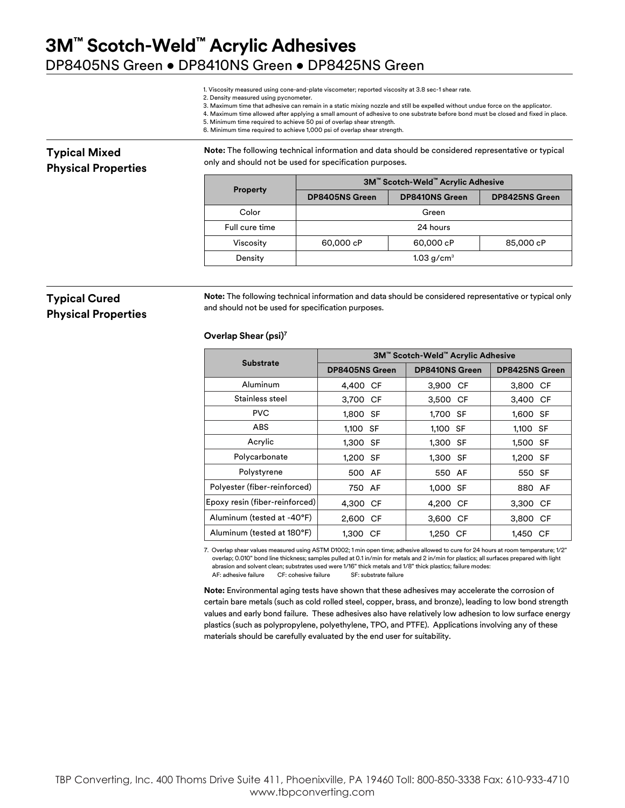1. Viscosity measured using cone-and-plate viscometer; reported viscosity at 3.8 sec-1 shear rate.

- 2. Density measured using pycnometer.
- 3. Maximum time that adhesive can remain in a static mixing nozzle and still be expelled without undue force on the applicator.
- 4. Maximum time allowed after applying a small amount of adhesive to one substrate before bond must be closed and fixed in place.
- 5. Minimum time required to achieve 50 psi of overlap shear strength.
- 6. Minimum time required to achieve 1,000 psi of overlap shear strength.

### **Typical Mixed Physical Properties**

**Note:** The following technical information and data should be considered representative or typical only and should not be used for specification purposes.

| <b>Property</b> | 3M™ Scotch-Weld™ Acrylic Adhesive |                       |                       |  |
|-----------------|-----------------------------------|-----------------------|-----------------------|--|
|                 | <b>DP8405NS Green</b>             | <b>DP8410NS Green</b> | <b>DP8425NS Green</b> |  |
| Color           | Green                             |                       |                       |  |
| Full cure time  | 24 hours                          |                       |                       |  |
| Viscosity       | 60,000 cP                         | 60,000 cP             | 85,000 cP             |  |
| Density         | $1.03$ g/cm <sup>3</sup>          |                       |                       |  |

### **Typical Cured Physical Properties**

**Note:** The following technical information and data should be considered representative or typical only and should not be used for specification purposes.

#### **Overlap Shear (psi)7**

|                                | 3M™ Scotch-Weld™ Acrylic Adhesive |                       |                |  |
|--------------------------------|-----------------------------------|-----------------------|----------------|--|
| <b>Substrate</b>               | <b>DP8405NS Green</b>             | <b>DP8410NS Green</b> | DP8425NS Green |  |
| Aluminum                       | 4,400 CF                          | 3,900 CF              | 3,800 CF       |  |
| Stainless steel                | 3,700 CF                          | 3,500 CF              | 3,400 CF       |  |
| <b>PVC</b>                     | 1,800 SF                          | 1,700 SF              | 1,600 SF       |  |
| <b>ABS</b>                     | 1,100 SF                          | 1,100 SF              | 1,100 SF       |  |
| Acrylic                        | 1,300 SF                          | 1,300 SF              | 1,500 SF       |  |
| Polycarbonate                  | 1.200 SF                          | 1,300 SF              | 1,200 SF       |  |
| Polystyrene                    | 500 AF                            | 550 AF                | 550 SF         |  |
| Polyester (fiber-reinforced)   | 750 AF                            | 1,000 SF              | 880 AF         |  |
| Epoxy resin (fiber-reinforced) | 4,300 CF                          | 4,200 CF              | 3,300 CF       |  |
| Aluminum (tested at -40°F)     | 2,600 CF                          | 3,600 CF              | 3,800 CF       |  |
| Aluminum (tested at 180°F)     | 1.300 CF                          | 1,250 CF              | 1.450<br>СF    |  |

7. Overlap shear values measured using ASTM D1002; 1 min open time; adhesive allowed to cure for 24 hours at room temperature; 1/2" overlap; 0.010" bond line thickness; samples pulled at 0.1 in/min for metals and 2 in/min for plastics; all surfaces prepared with light abrasion and solvent clean; substrates used were 1/16" thick metals and 1/8" thick plastics; failure modes: AF: adhesive failure CF: cohesive failure SF: substrate failure

**Note:** Environmental aging tests have shown that these adhesives may accelerate the corrosion of certain bare metals (such as cold rolled steel, copper, brass, and bronze), leading to low bond strength values and early bond failure. These adhesives also have relatively low adhesion to low surface energy plastics (such as polypropylene, polyethylene, TPO, and PTFE). Applications involving any of these materials should be carefully evaluated by the end user for suitability.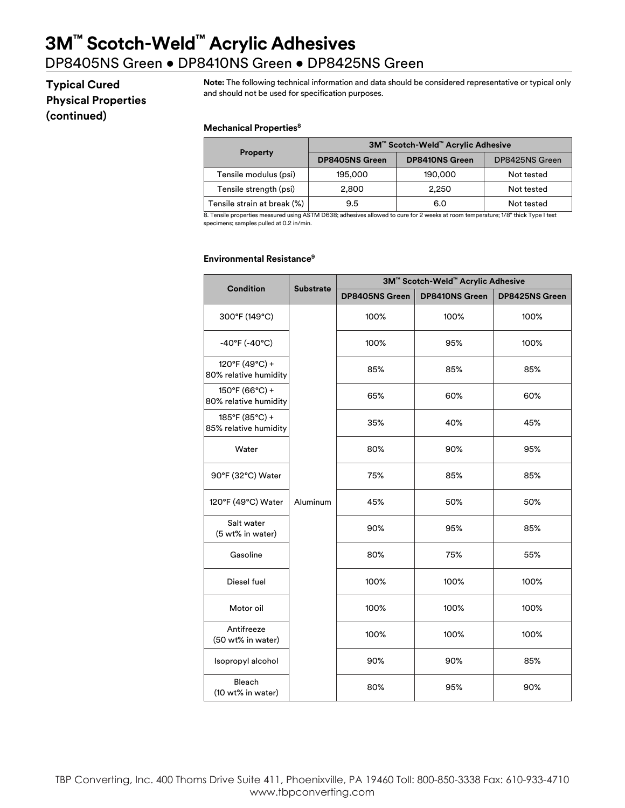# **3M™ Scotch-Weld™ Acrylic Adhesives**

## DP8405NS Green • DP8410NS Green • DP8425NS Green

### **Typical Cured Physical Properties (continued)**

**Note:** The following technical information and data should be considered representative or typical only and should not be used for specification purposes.

#### **Mechanical Properties8**

|                             | 3M™ Scotch-Weld™ Acrylic Adhesive |                       |                |  |
|-----------------------------|-----------------------------------|-----------------------|----------------|--|
| <b>Property</b>             | <b>DP8405NS Green</b>             | <b>DP8410NS Green</b> | DP8425NS Green |  |
| Tensile modulus (psi)       | 195,000                           | 190,000               | Not tested     |  |
| Tensile strength (psi)      | 2,800                             | 2.250                 | Not tested     |  |
| Tensile strain at break (%) | 9.5                               | 6.0                   | Not tested     |  |

8. Tensile properties measured using ASTM D638; adhesives allowed to cure for 2 weeks at room temperature; 1/8" thick Type I test specimens; samples pulled at 0.2 in/min.

#### **Environmental Resistance9**

|                                         | <b>Substrate</b> | 3M™ Scotch-Weld™ Acrylic Adhesive |                       |                |  |
|-----------------------------------------|------------------|-----------------------------------|-----------------------|----------------|--|
| <b>Condition</b>                        |                  | DP8405NS Green                    | <b>DP8410NS Green</b> | DP8425NS Green |  |
| 300°F (149°C)                           |                  | 100%                              | 100%                  | 100%           |  |
| $-40^{\circ}$ F ( $-40^{\circ}$ C)      |                  | 100%                              | 95%                   | 100%           |  |
| 120°F (49°C) +<br>80% relative humidity |                  | 85%                               | 85%                   | 85%            |  |
| 150°F (66°C) +<br>80% relative humidity |                  | 65%                               | 60%                   | 60%            |  |
| 185°F (85°C) +<br>85% relative humidity |                  | 35%                               | 40%                   | 45%            |  |
| Water                                   |                  | 80%                               | 90%                   | 95%            |  |
| 90°F (32°C) Water                       |                  | 75%                               | 85%                   | 85%            |  |
| 120°F (49°C) Water                      | Aluminum         | 45%                               | 50%                   | 50%            |  |
| Salt water<br>(5 wt% in water)          |                  | 90%                               | 95%                   | 85%            |  |
| Gasoline                                |                  | 80%                               | 75%                   | 55%            |  |
| Diesel fuel                             |                  | 100%                              | 100%                  | 100%           |  |
| Motor oil                               |                  | 100%                              | 100%                  | 100%           |  |
| Antifreeze<br>(50 wt% in water)         |                  | 100%                              | 100%                  | 100%           |  |
| Isopropyl alcohol                       |                  | 90%                               | 90%                   | 85%            |  |
| Bleach<br>(10 wt% in water)             |                  | 80%                               | 95%                   | 90%            |  |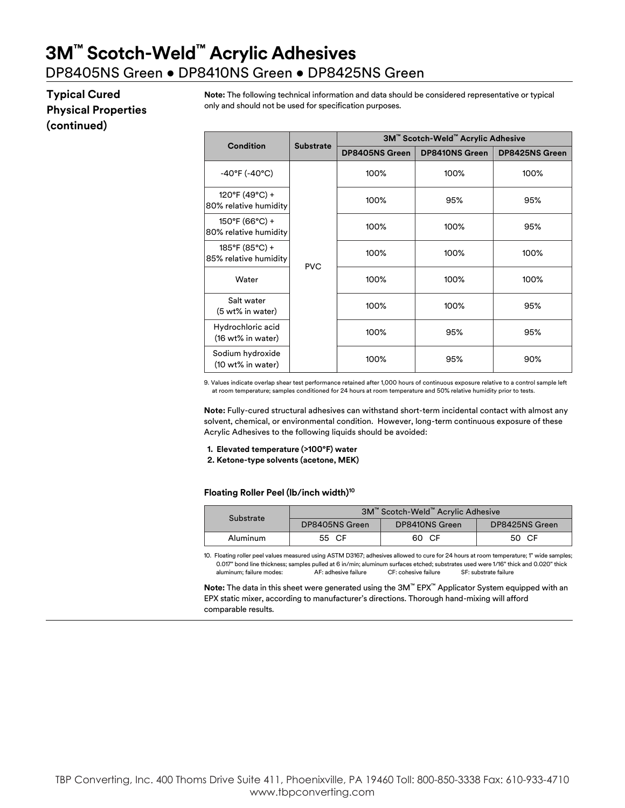### **Typical Cured Physical Properties (continued)**

**Note:** The following technical information and data should be considered representative or typical only and should not be used for specification purposes.

| Condition                                         | <b>Substrate</b> | 3M™ Scotch-Weld™ Acrylic Adhesive |                       |                       |  |
|---------------------------------------------------|------------------|-----------------------------------|-----------------------|-----------------------|--|
|                                                   |                  | <b>DP8405NS Green</b>             | <b>DP8410NS Green</b> | <b>DP8425NS Green</b> |  |
| $-40^{\circ}$ F ( $-40^{\circ}$ C)                |                  | 100%                              | 100%                  | 100%                  |  |
| 120°F (49°C) +<br>80% relative humidity           |                  | 100%                              | 95%                   | 95%                   |  |
| $150^{\circ}$ F (66°C) +<br>80% relative humidity | <b>PVC</b>       | 100%                              | 100%                  | 95%                   |  |
| 185°F (85°C) +<br>85% relative humidity           |                  | 100%                              | 100%                  | 100%                  |  |
| Water                                             |                  | 100%                              | 100%                  | 100%                  |  |
| Salt water<br>(5 wt% in water)                    |                  | 100%                              | 100%                  | 95%                   |  |
| Hydrochloric acid<br>(16 wt% in water)            |                  | 100%                              | 95%                   | 95%                   |  |
| Sodium hydroxide<br>(10 wt% in water)             |                  | 100%                              | 95%                   | 90%                   |  |

9. Values indicate overlap shear test performance retained after 1,000 hours of continuous exposure relative to a control sample left at room temperature; samples conditioned for 24 hours at room temperature and 50% relative humidity prior to tests.

**Note:** Fully-cured structural adhesives can withstand short-term incidental contact with almost any solvent, chemical, or environmental condition. However, long-term continuous exposure of these Acrylic Adhesives to the following liquids should be avoided:

**1. Elevated temperature (>100°F) water**

**2. Ketone-type solvents (acetone, MEK)**

**Floating Roller Peel (lb/inch width)10**

| Substrate | 3M™ Scotch-Weld™ Acrylic Adhesive |                |                |  |
|-----------|-----------------------------------|----------------|----------------|--|
|           | DP8405NS Green                    | DP8410NS Green | DP8425NS Green |  |
| Aluminum  | 55 CF                             | 60 CF          | 50 CF          |  |

10. Floating roller peel values measured using ASTM D3167; adhesives allowed to cure for 24 hours at room temperature; 1" wide samples; 0.017" bond line thickness; samples pulled at 6 in/min; aluminum surfaces etched; substrates used were 1/16" thick and 0.020" thick<br>aluminum; failure modes: AF: adhesive failure CF: cohesive failure SF: substrate failure aluminum; failure modes: AF: adhesive failure CF: cohesive failure SF: substrate failure

**Note:** The data in this sheet were generated using the 3M™ EPX™ Applicator System equipped with an EPX static mixer, according to manufacturer's directions. Thorough hand-mixing will afford comparable results.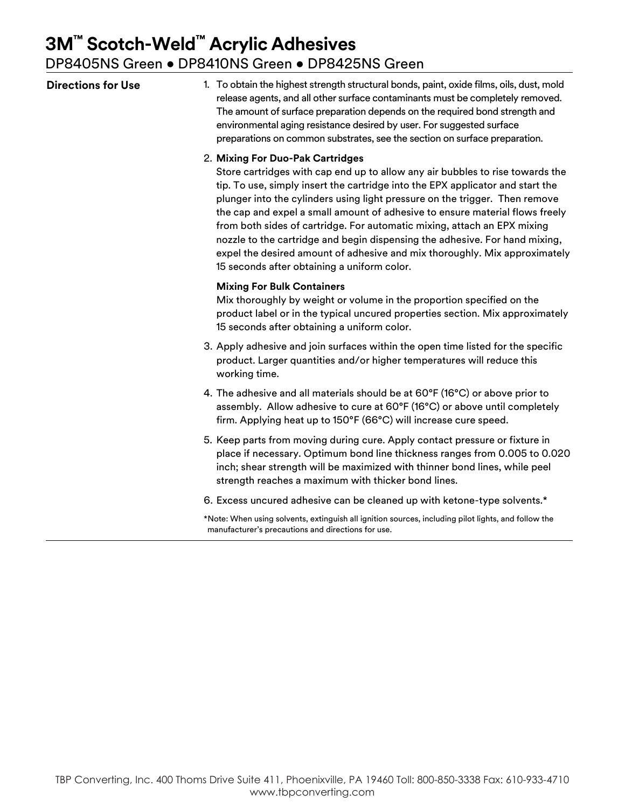# **3M™ Scotch-Weld™ Acrylic Adhesives**

DP8405NS Green • DP8410NS Green • DP8425NS Green

| <b>Directions for Use</b> | 1. To obtain the highest strength structural bonds, paint, oxide films, oils, dust, mold<br>release agents, and all other surface contaminants must be completely removed.<br>The amount of surface preparation depends on the required bond strength and<br>environmental aging resistance desired by user. For suggested surface<br>preparations on common substrates, see the section on surface preparation.                                                                                                                                                                                                                                           |
|---------------------------|------------------------------------------------------------------------------------------------------------------------------------------------------------------------------------------------------------------------------------------------------------------------------------------------------------------------------------------------------------------------------------------------------------------------------------------------------------------------------------------------------------------------------------------------------------------------------------------------------------------------------------------------------------|
|                           | 2. Mixing For Duo-Pak Cartridges<br>Store cartridges with cap end up to allow any air bubbles to rise towards the<br>tip. To use, simply insert the cartridge into the EPX applicator and start the<br>plunger into the cylinders using light pressure on the trigger. Then remove<br>the cap and expel a small amount of adhesive to ensure material flows freely<br>from both sides of cartridge. For automatic mixing, attach an EPX mixing<br>nozzle to the cartridge and begin dispensing the adhesive. For hand mixing,<br>expel the desired amount of adhesive and mix thoroughly. Mix approximately<br>15 seconds after obtaining a uniform color. |
|                           | <b>Mixing For Bulk Containers</b><br>Mix thoroughly by weight or volume in the proportion specified on the<br>product label or in the typical uncured properties section. Mix approximately<br>15 seconds after obtaining a uniform color.                                                                                                                                                                                                                                                                                                                                                                                                                 |
|                           | 3. Apply adhesive and join surfaces within the open time listed for the specific<br>product. Larger quantities and/or higher temperatures will reduce this<br>working time.                                                                                                                                                                                                                                                                                                                                                                                                                                                                                |
|                           | 4. The adhesive and all materials should be at 60°F (16°C) or above prior to<br>assembly. Allow adhesive to cure at 60°F (16°C) or above until completely<br>firm. Applying heat up to 150°F (66°C) will increase cure speed.                                                                                                                                                                                                                                                                                                                                                                                                                              |
|                           | 5. Keep parts from moving during cure. Apply contact pressure or fixture in<br>place if necessary. Optimum bond line thickness ranges from 0.005 to 0.020<br>inch; shear strength will be maximized with thinner bond lines, while peel<br>strength reaches a maximum with thicker bond lines.                                                                                                                                                                                                                                                                                                                                                             |
|                           | 6. Excess uncured adhesive can be cleaned up with ketone-type solvents.*                                                                                                                                                                                                                                                                                                                                                                                                                                                                                                                                                                                   |
|                           | *Note: When using solvents, extinguish all ignition sources, including pilot lights, and follow the<br>manufacturer's precautions and directions for use.                                                                                                                                                                                                                                                                                                                                                                                                                                                                                                  |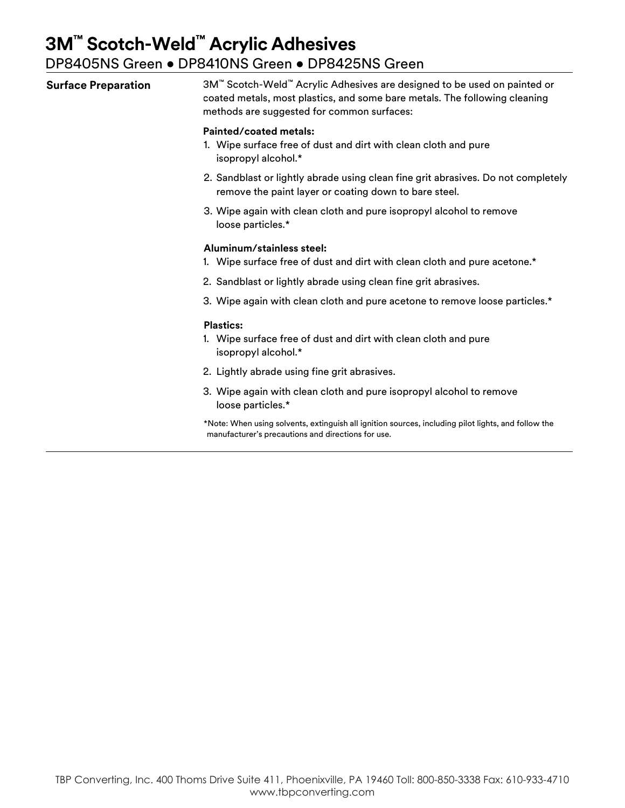| <b>Surface Preparation</b> | 3M™ Scotch-Weld™ Acrylic Adhesives are designed to be used on painted or<br>coated metals, most plastics, and some bare metals. The following cleaning<br>methods are suggested for common surfaces: |  |  |
|----------------------------|------------------------------------------------------------------------------------------------------------------------------------------------------------------------------------------------------|--|--|
|                            | Painted/coated metals:<br>1. Wipe surface free of dust and dirt with clean cloth and pure<br>isopropyl alcohol.*                                                                                     |  |  |

- 2. Sandblast or lightly abrade using clean fine grit abrasives. Do not completely remove the paint layer or coating down to bare steel.
- 3. Wipe again with clean cloth and pure isopropyl alcohol to remove loose particles.\*

#### **Aluminum/stainless steel:**

- 1. Wipe surface free of dust and dirt with clean cloth and pure acetone.\*
- 2. Sandblast or lightly abrade using clean fine grit abrasives.
- 3. Wipe again with clean cloth and pure acetone to remove loose particles.\*

#### **Plastics:**

- 1. Wipe surface free of dust and dirt with clean cloth and pure isopropyl alcohol.\*
- 2. Lightly abrade using fine grit abrasives.
- 3. Wipe again with clean cloth and pure isopropyl alcohol to remove loose particles.\*
- \*Note: When using solvents, extinguish all ignition sources, including pilot lights, and follow the manufacturer's precautions and directions for use.